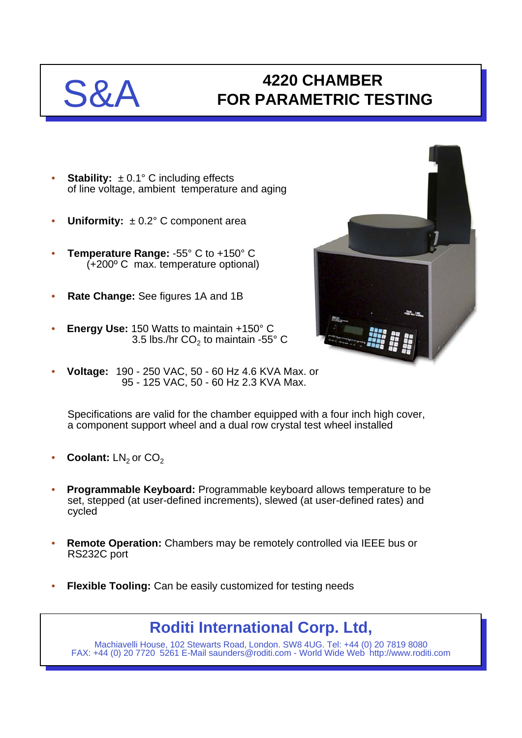## S&A **4220 CHAMBER FOR PARAMETRIC TESTING**

- **Stability:**  $\pm 0.1^\circ$  C including effects of line voltage, ambient temperature and aging
- **Uniformity:**  $\pm 0.2^{\circ}$  C component area
- **Temperature Range:** -55° C to +150° C (+200º C max. temperature optional)
- **Rate Change:** See figures 1A and 1B
- **Energy Use:** 150 Watts to maintain +150° C 3.5 lbs./hr  $CO<sub>2</sub>$  to maintain -55 $^{\circ}$  C
- **Voltage:** 190 250 VAC, 50 60 Hz 4.6 KVA Max. or 95 - 125 VAC, 50 - 60 Hz 2.3 KVA Max.

Specifications are valid for the chamber equipped with a four inch high cover, a component support wheel and a dual row crystal test wheel installed

- **Coolant:** LN<sub>2</sub> or CO<sub>2</sub>
- **Programmable Keyboard:** Programmable keyboard allows temperature to be set, stepped (at user-defined increments), slewed (at user-defined rates) and cycled
- **Remote Operation:** Chambers may be remotely controlled via IEEE bus or RS232C port
- **Flexible Tooling:** Can be easily customized for testing needs

## **Roditi International Corp. Ltd,**

Machiavelli House, 102 Stewarts Road, London. SW8 4UG. Tel: +44 (0) 20 7819 8080 FAX: +44 (0) 20 7720 5261 E-Mail saunders@roditi.com - World Wide Web http://www.roditi.com